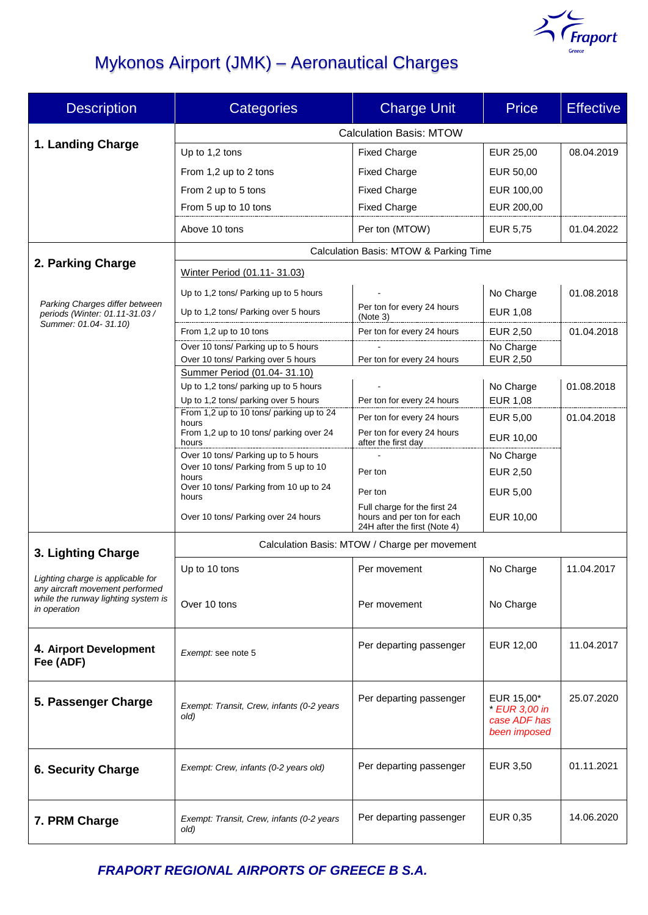

# Mykonos Airport (JMK) – Aeronautical Charges

| <b>Description</b>                                                                                                          | <b>Categories</b>                                                                | <b>Charge Unit</b>                                         | <b>Price</b>                  | <b>Effective</b> |  |
|-----------------------------------------------------------------------------------------------------------------------------|----------------------------------------------------------------------------------|------------------------------------------------------------|-------------------------------|------------------|--|
|                                                                                                                             | <b>Calculation Basis: MTOW</b>                                                   |                                                            |                               |                  |  |
| 1. Landing Charge                                                                                                           | Up to 1,2 tons                                                                   | <b>Fixed Charge</b>                                        | EUR 25,00                     | 08.04.2019       |  |
|                                                                                                                             | From 1,2 up to 2 tons                                                            | <b>Fixed Charge</b>                                        | EUR 50,00                     |                  |  |
|                                                                                                                             | From 2 up to 5 tons                                                              | <b>Fixed Charge</b>                                        | EUR 100,00                    |                  |  |
|                                                                                                                             | From 5 up to 10 tons                                                             | <b>Fixed Charge</b>                                        | EUR 200,00                    |                  |  |
|                                                                                                                             | Above 10 tons                                                                    | Per ton (MTOW)                                             | EUR 5,75                      | 01.04.2022       |  |
| 2. Parking Charge                                                                                                           | Calculation Basis: MTOW & Parking Time                                           |                                                            |                               |                  |  |
|                                                                                                                             | Winter Period (01.11-31.03)                                                      |                                                            |                               |                  |  |
| Parking Charges differ between<br>periods (Winter: 01.11-31.03 /                                                            | Up to 1,2 tons/ Parking up to 5 hours                                            |                                                            | No Charge                     | 01.08.2018       |  |
|                                                                                                                             | Up to 1,2 tons/ Parking over 5 hours                                             | Per ton for every 24 hours<br>(Note 3)                     | <b>EUR 1,08</b>               |                  |  |
| Summer: 01.04-31.10)                                                                                                        | From 1,2 up to 10 tons                                                           | Per ton for every 24 hours                                 | EUR 2,50                      | 01.04.2018       |  |
|                                                                                                                             | Over 10 tons/ Parking up to 5 hours<br>Over 10 tons/ Parking over 5 hours        | Per ton for every 24 hours                                 | No Charge<br><b>EUR 2,50</b>  |                  |  |
|                                                                                                                             | Summer Period (01.04-31.10)                                                      |                                                            |                               |                  |  |
|                                                                                                                             | Up to 1,2 tons/ parking up to 5 hours                                            |                                                            | No Charge                     | 01.08.2018       |  |
|                                                                                                                             | Up to 1,2 tons/ parking over 5 hours<br>From 1,2 up to 10 tons/ parking up to 24 | Per ton for every 24 hours                                 | EUR 1,08                      |                  |  |
|                                                                                                                             | hours<br>From 1,2 up to 10 tons/ parking over 24                                 | Per ton for every 24 hours<br>Per ton for every 24 hours   | <b>EUR 5,00</b>               | 01.04.2018       |  |
|                                                                                                                             | hours                                                                            | after the first day                                        | EUR 10,00                     |                  |  |
|                                                                                                                             | Over 10 tons/ Parking up to 5 hours<br>Over 10 tons/ Parking from 5 up to 10     | Per ton                                                    | No Charge<br>EUR 2,50         |                  |  |
|                                                                                                                             | hours<br>Over 10 tons/ Parking from 10 up to 24                                  | Per ton                                                    | EUR 5,00                      |                  |  |
|                                                                                                                             | hours                                                                            | Full charge for the first 24                               |                               |                  |  |
|                                                                                                                             | Over 10 tons/ Parking over 24 hours                                              | hours and per ton for each<br>24H after the first (Note 4) | EUR 10,00                     |                  |  |
| 3. Lighting Charge                                                                                                          | Calculation Basis: MTOW / Charge per movement                                    |                                                            |                               |                  |  |
| Lighting charge is applicable for<br>any aircraft movement performed<br>while the runway lighting system is<br>in operation | Up to 10 tons                                                                    | Per movement                                               | No Charge                     | 11.04.2017       |  |
|                                                                                                                             |                                                                                  |                                                            |                               |                  |  |
|                                                                                                                             | Over 10 tons                                                                     | Per movement                                               | No Charge                     |                  |  |
|                                                                                                                             |                                                                                  |                                                            |                               |                  |  |
| 4. Airport Development                                                                                                      | Exempt: see note 5                                                               | Per departing passenger                                    | EUR 12,00                     | 11.04.2017       |  |
| Fee (ADF)                                                                                                                   |                                                                                  |                                                            |                               |                  |  |
| 5. Passenger Charge                                                                                                         |                                                                                  | Per departing passenger                                    | EUR 15,00*                    | 25.07.2020       |  |
|                                                                                                                             | Exempt: Transit, Crew, infants (0-2 years<br>old)                                |                                                            | * EUR 3,00 in<br>case ADF has |                  |  |
|                                                                                                                             |                                                                                  |                                                            | been imposed                  |                  |  |
|                                                                                                                             |                                                                                  |                                                            |                               |                  |  |
| <b>6. Security Charge</b>                                                                                                   | Exempt: Crew, infants (0-2 years old)                                            | Per departing passenger                                    | EUR 3,50                      | 01.11.2021       |  |
|                                                                                                                             |                                                                                  |                                                            |                               |                  |  |
| 7. PRM Charge                                                                                                               | Exempt: Transit, Crew, infants (0-2 years                                        | Per departing passenger                                    | EUR 0,35                      | 14.06.2020       |  |
|                                                                                                                             | old)                                                                             |                                                            |                               |                  |  |

*FRAPORT REGIONAL AIRPORTS OF GREECE B S.A.*